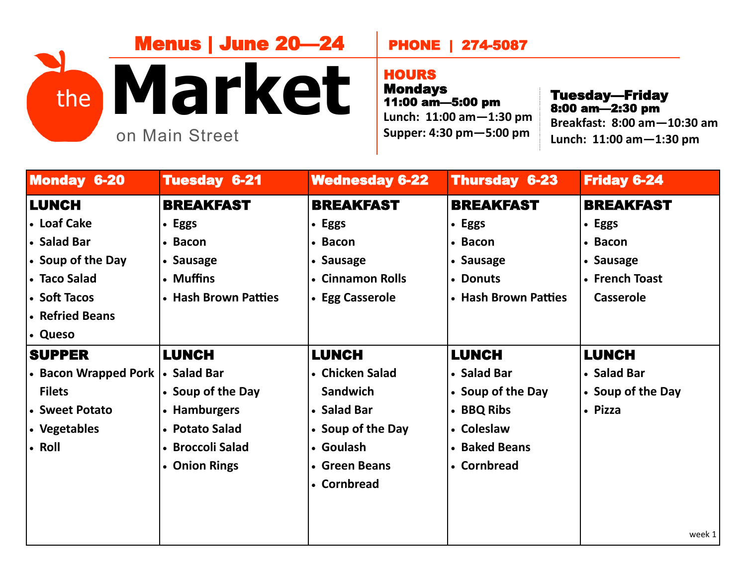## **Market** on Main Street Menus | June 20—24 the  $\blacksquare$   $\blacksquare$   $\blacksquare$   $\blacksquare$   $\blacksquare$   $\blacksquare$   $\blacksquare$   $\blacksquare$   $\blacksquare$   $\blacksquare$   $\blacksquare$   $\blacksquare$   $\blacksquare$   $\blacksquare$   $\blacksquare$   $\blacksquare$   $\blacksquare$   $\blacksquare$   $\blacksquare$   $\blacksquare$   $\blacksquare$   $\blacksquare$   $\blacksquare$   $\blacksquare$   $\blacksquare$   $\blacksquare$   $\blacksquare$   $\blacksquare$   $\blacksquare$   $\blacksquare$   $\blacksquare$

## PHONE | 274-5087

## **HOURS**

Mondays 11:00 am—5:00 pm **Lunch: 11:00 am—1:30 pm Supper: 4:30 pm—5:00 pm**

Tuesday—Friday<br>8:00 am—2:30 pm **Breakfast: 8:00 am—10:30 am Lunch: 11:00 am—1:30 pm**

| <b>Monday 6-20</b>   | <b>Tuesday 6-21</b>  | <b>Wednesday 6-22</b> | <b>Thursday 6-23</b> | <b>Friday 6-24</b> |
|----------------------|----------------------|-----------------------|----------------------|--------------------|
| <b>LUNCH</b>         | <b>BREAKFAST</b>     | <b>BREAKFAST</b>      | <b>BREAKFAST</b>     | <b>BREAKFAST</b>   |
| <b>.</b> Loaf Cake   | • Eggs               | • Eggs                | • Eggs               | • Eggs             |
| <b>Salad Bar</b>     | • Bacon              | • Bacon               | • Bacon              | • Bacon            |
| • Soup of the Day    | • Sausage            | • Sausage             | • Sausage            | • Sausage          |
| • Taco Salad         | • Muffins            | • Cinnamon Rolls      | • Donuts             | • French Toast     |
| <b>Soft Tacos</b>    | • Hash Brown Patties | • Egg Casserole       | • Hash Brown Patties | Casserole          |
| • Refried Beans      |                      |                       |                      |                    |
| <b>.</b> Queso       |                      |                       |                      |                    |
| <b>SUPPER</b>        | <b>LUNCH</b>         | <b>LUNCH</b>          | <b>LUNCH</b>         | <b>LUNCH</b>       |
| • Bacon Wrapped Pork | • Salad Bar          | • Chicken Salad       | • Salad Bar          | • Salad Bar        |
| <b>Filets</b>        | • Soup of the Day    | <b>Sandwich</b>       | • Soup of the Day    | • Soup of the Day  |
| • Sweet Potato       | • Hamburgers         | • Salad Bar           | • BBQ Ribs           | • Pizza            |
| • Vegetables         | • Potato Salad       | • Soup of the Day     | • Coleslaw           |                    |
| $\cdot$ Roll         | • Broccoli Salad     | • Goulash             | • Baked Beans        |                    |
|                      | • Onion Rings        | • Green Beans         | • Cornbread          |                    |
|                      |                      | • Cornbread           |                      |                    |
|                      |                      |                       |                      |                    |
|                      |                      |                       |                      |                    |
|                      |                      |                       |                      | week 1             |